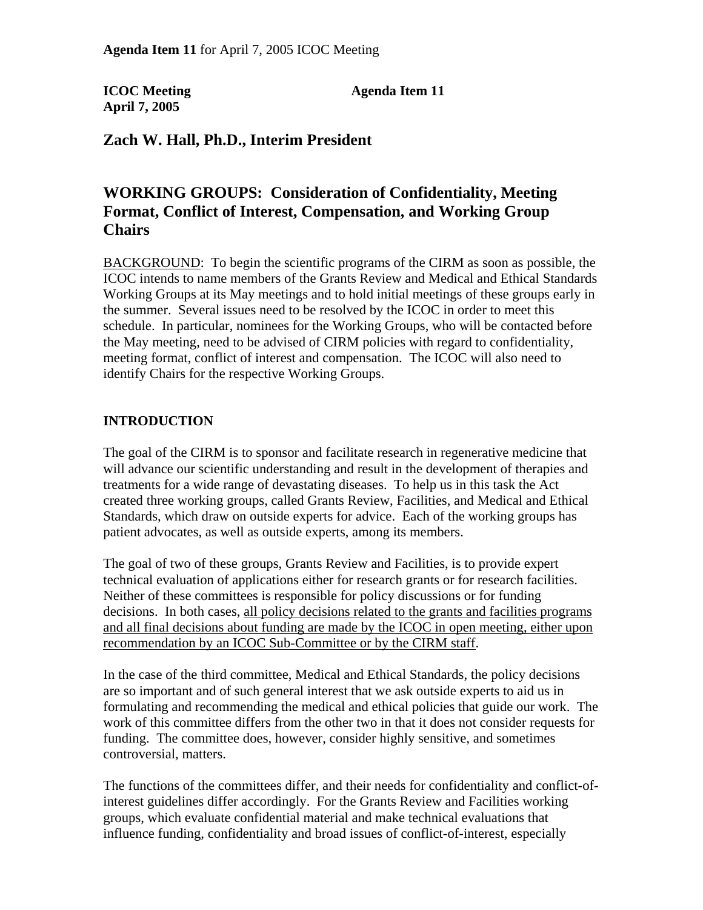**April 7, 2005** 

**ICOC Meeting Agenda Item 11** 

## **Zach W. Hall, Ph.D., Interim President**

# **WORKING GROUPS: Consideration of Confidentiality, Meeting Format, Conflict of Interest, Compensation, and Working Group Chairs**

BACKGROUND: To begin the scientific programs of the CIRM as soon as possible, the ICOC intends to name members of the Grants Review and Medical and Ethical Standards Working Groups at its May meetings and to hold initial meetings of these groups early in the summer. Several issues need to be resolved by the ICOC in order to meet this schedule. In particular, nominees for the Working Groups, who will be contacted before the May meeting, need to be advised of CIRM policies with regard to confidentiality, meeting format, conflict of interest and compensation. The ICOC will also need to identify Chairs for the respective Working Groups.

#### **INTRODUCTION**

The goal of the CIRM is to sponsor and facilitate research in regenerative medicine that will advance our scientific understanding and result in the development of therapies and treatments for a wide range of devastating diseases. To help us in this task the Act created three working groups, called Grants Review, Facilities, and Medical and Ethical Standards, which draw on outside experts for advice. Each of the working groups has patient advocates, as well as outside experts, among its members.

The goal of two of these groups, Grants Review and Facilities, is to provide expert technical evaluation of applications either for research grants or for research facilities. Neither of these committees is responsible for policy discussions or for funding decisions. In both cases, all policy decisions related to the grants and facilities programs and all final decisions about funding are made by the ICOC in open meeting, either upon recommendation by an ICOC Sub-Committee or by the CIRM staff.

In the case of the third committee, Medical and Ethical Standards, the policy decisions are so important and of such general interest that we ask outside experts to aid us in formulating and recommending the medical and ethical policies that guide our work. The work of this committee differs from the other two in that it does not consider requests for funding. The committee does, however, consider highly sensitive, and sometimes controversial, matters.

The functions of the committees differ, and their needs for confidentiality and conflict-ofinterest guidelines differ accordingly. For the Grants Review and Facilities working groups, which evaluate confidential material and make technical evaluations that influence funding, confidentiality and broad issues of conflict-of-interest, especially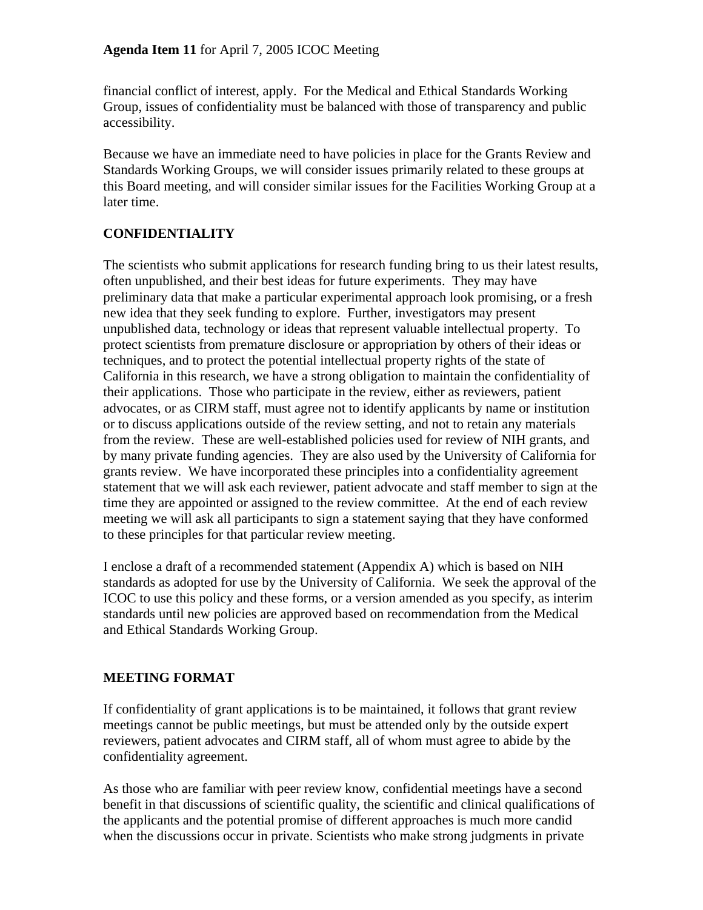financial conflict of interest, apply. For the Medical and Ethical Standards Working Group, issues of confidentiality must be balanced with those of transparency and public accessibility.

Because we have an immediate need to have policies in place for the Grants Review and Standards Working Groups, we will consider issues primarily related to these groups at this Board meeting, and will consider similar issues for the Facilities Working Group at a later time.

### **CONFIDENTIALITY**

The scientists who submit applications for research funding bring to us their latest results, often unpublished, and their best ideas for future experiments. They may have preliminary data that make a particular experimental approach look promising, or a fresh new idea that they seek funding to explore. Further, investigators may present unpublished data, technology or ideas that represent valuable intellectual property. To protect scientists from premature disclosure or appropriation by others of their ideas or techniques, and to protect the potential intellectual property rights of the state of California in this research, we have a strong obligation to maintain the confidentiality of their applications. Those who participate in the review, either as reviewers, patient advocates, or as CIRM staff, must agree not to identify applicants by name or institution or to discuss applications outside of the review setting, and not to retain any materials from the review. These are well-established policies used for review of NIH grants, and by many private funding agencies. They are also used by the University of California for grants review. We have incorporated these principles into a confidentiality agreement statement that we will ask each reviewer, patient advocate and staff member to sign at the time they are appointed or assigned to the review committee. At the end of each review meeting we will ask all participants to sign a statement saying that they have conformed to these principles for that particular review meeting.

I enclose a draft of a recommended statement (Appendix A) which is based on NIH standards as adopted for use by the University of California. We seek the approval of the ICOC to use this policy and these forms, or a version amended as you specify, as interim standards until new policies are approved based on recommendation from the Medical and Ethical Standards Working Group.

#### **MEETING FORMAT**

If confidentiality of grant applications is to be maintained, it follows that grant review meetings cannot be public meetings, but must be attended only by the outside expert reviewers, patient advocates and CIRM staff, all of whom must agree to abide by the confidentiality agreement.

As those who are familiar with peer review know, confidential meetings have a second benefit in that discussions of scientific quality, the scientific and clinical qualifications of the applicants and the potential promise of different approaches is much more candid when the discussions occur in private. Scientists who make strong judgments in private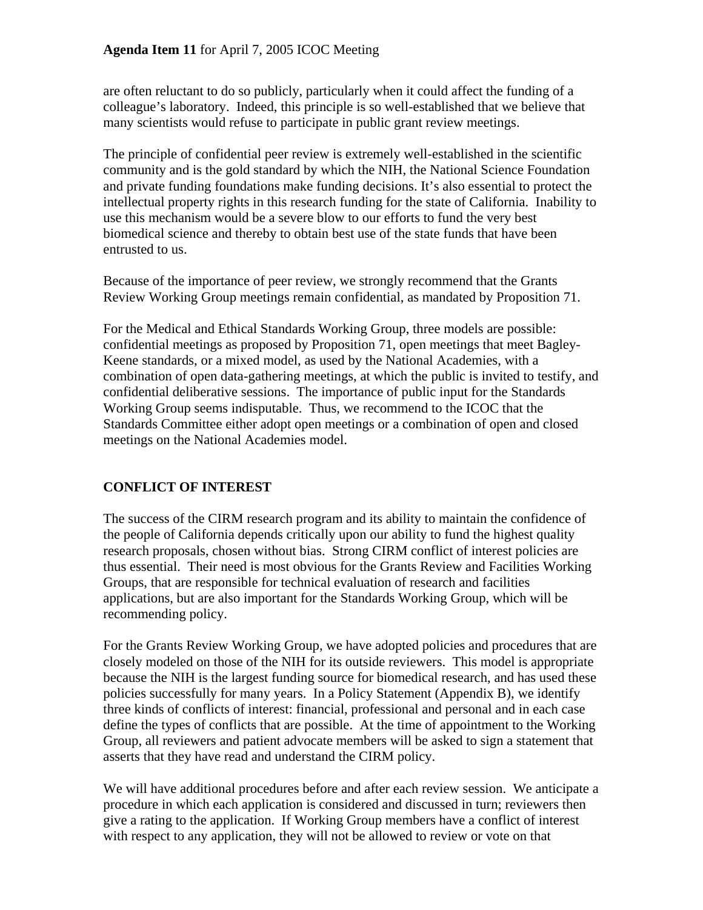#### **Agenda Item 11** for April 7, 2005 ICOC Meeting

are often reluctant to do so publicly, particularly when it could affect the funding of a colleague's laboratory. Indeed, this principle is so well-established that we believe that many scientists would refuse to participate in public grant review meetings.

The principle of confidential peer review is extremely well-established in the scientific community and is the gold standard by which the NIH, the National Science Foundation and private funding foundations make funding decisions. It's also essential to protect the intellectual property rights in this research funding for the state of California. Inability to use this mechanism would be a severe blow to our efforts to fund the very best biomedical science and thereby to obtain best use of the state funds that have been entrusted to us.

Because of the importance of peer review, we strongly recommend that the Grants Review Working Group meetings remain confidential, as mandated by Proposition 71.

For the Medical and Ethical Standards Working Group, three models are possible: confidential meetings as proposed by Proposition 71, open meetings that meet Bagley-Keene standards, or a mixed model, as used by the National Academies, with a combination of open data-gathering meetings, at which the public is invited to testify, and confidential deliberative sessions. The importance of public input for the Standards Working Group seems indisputable. Thus, we recommend to the ICOC that the Standards Committee either adopt open meetings or a combination of open and closed meetings on the National Academies model.

### **CONFLICT OF INTEREST**

The success of the CIRM research program and its ability to maintain the confidence of the people of California depends critically upon our ability to fund the highest quality research proposals, chosen without bias. Strong CIRM conflict of interest policies are thus essential. Their need is most obvious for the Grants Review and Facilities Working Groups, that are responsible for technical evaluation of research and facilities applications, but are also important for the Standards Working Group, which will be recommending policy.

For the Grants Review Working Group, we have adopted policies and procedures that are closely modeled on those of the NIH for its outside reviewers. This model is appropriate because the NIH is the largest funding source for biomedical research, and has used these policies successfully for many years. In a Policy Statement (Appendix B), we identify three kinds of conflicts of interest: financial, professional and personal and in each case define the types of conflicts that are possible. At the time of appointment to the Working Group, all reviewers and patient advocate members will be asked to sign a statement that asserts that they have read and understand the CIRM policy.

We will have additional procedures before and after each review session. We anticipate a procedure in which each application is considered and discussed in turn; reviewers then give a rating to the application. If Working Group members have a conflict of interest with respect to any application, they will not be allowed to review or vote on that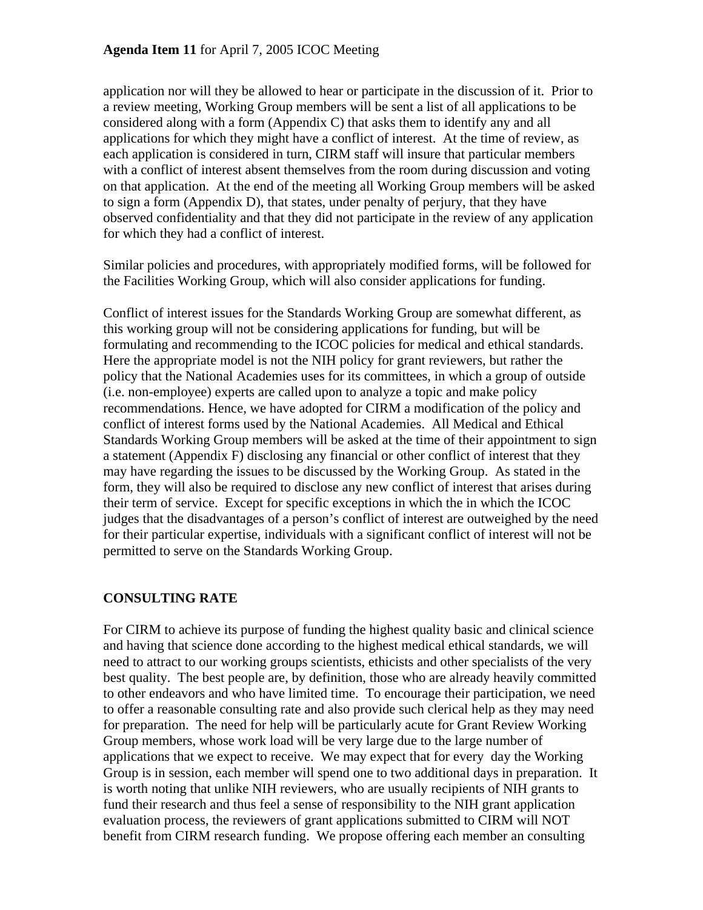application nor will they be allowed to hear or participate in the discussion of it. Prior to a review meeting, Working Group members will be sent a list of all applications to be considered along with a form (Appendix C) that asks them to identify any and all applications for which they might have a conflict of interest. At the time of review, as each application is considered in turn, CIRM staff will insure that particular members with a conflict of interest absent themselves from the room during discussion and voting on that application. At the end of the meeting all Working Group members will be asked to sign a form (Appendix D), that states, under penalty of perjury, that they have observed confidentiality and that they did not participate in the review of any application for which they had a conflict of interest.

Similar policies and procedures, with appropriately modified forms, will be followed for the Facilities Working Group, which will also consider applications for funding.

Conflict of interest issues for the Standards Working Group are somewhat different, as this working group will not be considering applications for funding, but will be formulating and recommending to the ICOC policies for medical and ethical standards. Here the appropriate model is not the NIH policy for grant reviewers, but rather the policy that the National Academies uses for its committees, in which a group of outside (i.e. non-employee) experts are called upon to analyze a topic and make policy recommendations. Hence, we have adopted for CIRM a modification of the policy and conflict of interest forms used by the National Academies. All Medical and Ethical Standards Working Group members will be asked at the time of their appointment to sign a statement (Appendix F) disclosing any financial or other conflict of interest that they may have regarding the issues to be discussed by the Working Group. As stated in the form, they will also be required to disclose any new conflict of interest that arises during their term of service. Except for specific exceptions in which the in which the ICOC judges that the disadvantages of a person's conflict of interest are outweighed by the need for their particular expertise, individuals with a significant conflict of interest will not be permitted to serve on the Standards Working Group.

#### **CONSULTING RATE**

For CIRM to achieve its purpose of funding the highest quality basic and clinical science and having that science done according to the highest medical ethical standards, we will need to attract to our working groups scientists, ethicists and other specialists of the very best quality. The best people are, by definition, those who are already heavily committed to other endeavors and who have limited time. To encourage their participation, we need to offer a reasonable consulting rate and also provide such clerical help as they may need for preparation. The need for help will be particularly acute for Grant Review Working Group members, whose work load will be very large due to the large number of applications that we expect to receive. We may expect that for every day the Working Group is in session, each member will spend one to two additional days in preparation. It is worth noting that unlike NIH reviewers, who are usually recipients of NIH grants to fund their research and thus feel a sense of responsibility to the NIH grant application evaluation process, the reviewers of grant applications submitted to CIRM will NOT benefit from CIRM research funding. We propose offering each member an consulting